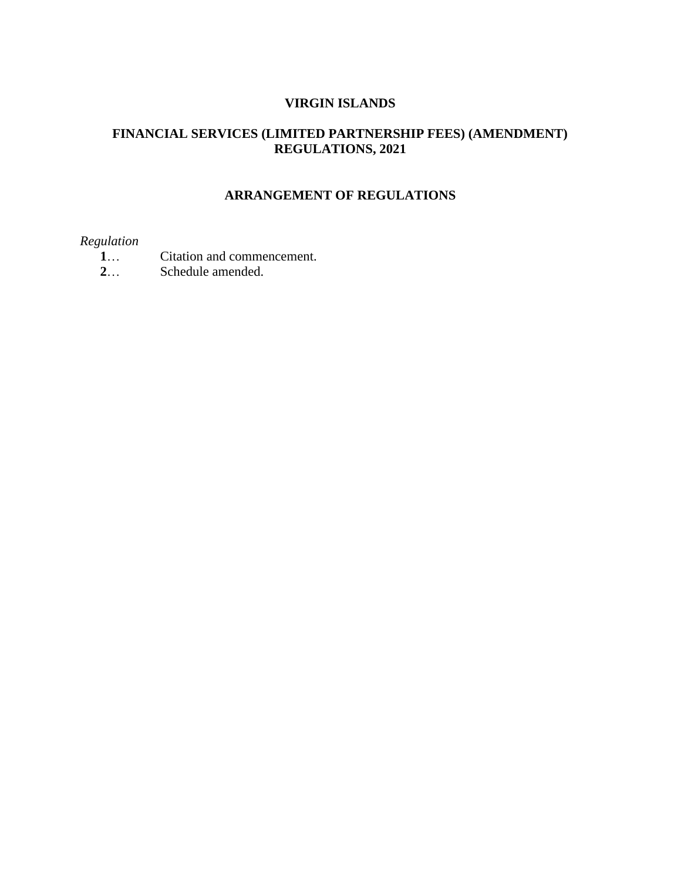### **VIRGIN ISLANDS**

# **FINANCIAL SERVICES (LIMITED PARTNERSHIP FEES) (AMENDMENT) REGULATIONS, 2021**

# **ARRANGEMENT OF REGULATIONS**

## *Regulation*

- **1**… Citation and commencement.
- **2**… Schedule amended.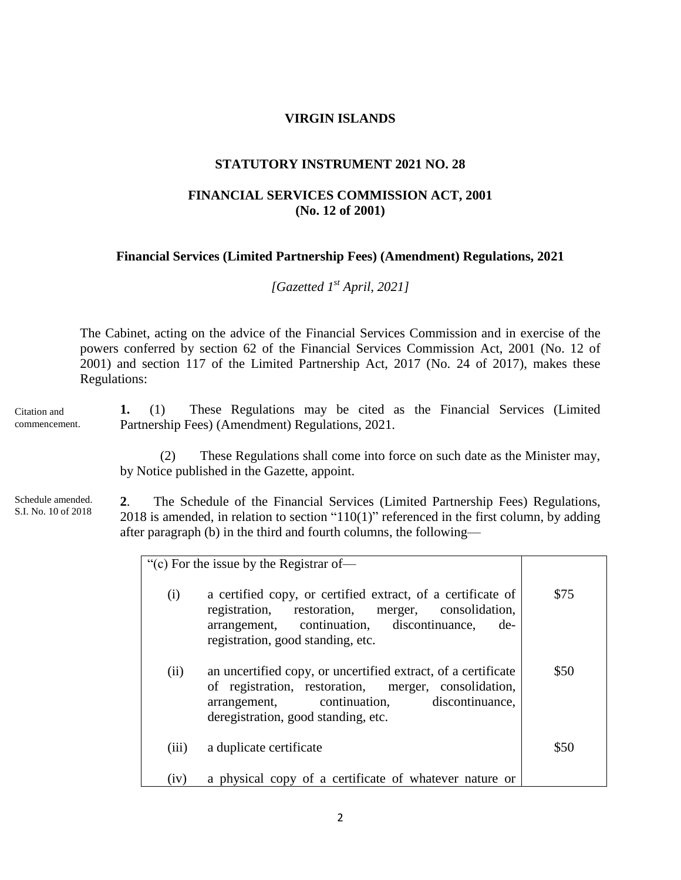### **VIRGIN ISLANDS**

#### **STATUTORY INSTRUMENT 2021 NO. 28**

### **FINANCIAL SERVICES COMMISSION ACT, 2001 (No. 12 of 2001)**

### **Financial Services (Limited Partnership Fees) (Amendment) Regulations, 2021**

*[Gazetted 1 st April, 2021]*

The Cabinet, acting on the advice of the Financial Services Commission and in exercise of the powers conferred by section 62 of the Financial Services Commission Act, 2001 (No. 12 of 2001) and section 117 of the Limited Partnership Act, 2017 (No. 24 of 2017), makes these Regulations:

Citation and commencement.

**1.** (1) These Regulations may be cited as the Financial Services (Limited Partnership Fees) (Amendment) Regulations, 2021.

(2) These Regulations shall come into force on such date as the Minister may, by Notice published in the Gazette, appoint.

Schedule amended. S.I. No. 10 of 2018

**2**. The Schedule of the Financial Services (Limited Partnership Fees) Regulations, 2018 is amended, in relation to section "110(1)" referenced in the first column, by adding after paragraph (b) in the third and fourth columns, the following—

| "(c) For the issue by the Registrar of- |                                                                                                                                                                                                               |      |
|-----------------------------------------|---------------------------------------------------------------------------------------------------------------------------------------------------------------------------------------------------------------|------|
| (i)                                     | a certified copy, or certified extract, of a certificate of<br>registration, restoration, merger, consolidation,<br>arrangement, continuation, discontinuance,<br>de-<br>registration, good standing, etc.    | \$75 |
| (ii)                                    | an uncertified copy, or uncertified extract, of a certificate<br>of registration, restoration, merger, consolidation,<br>continuation, discontinuance,<br>arrangement,<br>deregistration, good standing, etc. | \$50 |
| (iii)                                   | a duplicate certificate                                                                                                                                                                                       | \$50 |
| (iv)                                    | a physical copy of a certificate of whatever nature or                                                                                                                                                        |      |